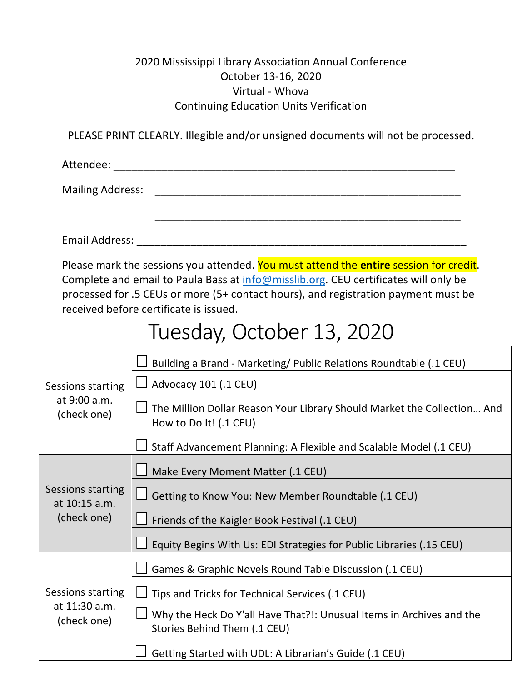#### 2020 Mississippi Library Association Annual Conference October 13-16, 2020 Virtual - Whova Continuing Education Units Verification

PLEASE PRINT CLEARLY. Illegible and/or unsigned documents will not be processed.

Attendee: \_\_\_\_\_\_\_\_\_\_\_\_\_\_\_\_\_\_\_\_\_\_\_\_\_\_\_\_\_\_\_\_\_\_\_\_\_\_\_\_\_\_\_\_\_\_\_\_\_\_\_\_\_\_\_\_\_

Mailing Address: \_\_\_\_\_\_\_\_\_\_\_\_\_\_\_\_\_\_\_\_\_\_\_\_\_\_\_\_\_\_\_\_\_\_\_\_\_\_\_\_\_\_\_\_\_\_\_\_\_\_\_

Email Address: \_\_\_\_\_\_\_\_\_\_\_\_\_\_\_\_\_\_\_\_\_\_\_\_\_\_\_\_\_\_\_\_\_\_\_\_\_\_\_\_\_\_\_\_\_\_\_\_\_\_\_\_\_\_\_

Please mark the sessions you attended. You must attend the **entire** session for credit. Complete and email to Paula Bass at [info@misslib.org.](mailto:info@misslib.org) CEU certificates will only be processed for .5 CEUs or more (5+ contact hours), and registration payment must be received before certificate is issued.

### Tuesday, October 13, 2020

| Sessions starting<br>at 9:00 a.m.<br>(check one)  | Building a Brand - Marketing/ Public Relations Roundtable (.1 CEU)                                   |
|---------------------------------------------------|------------------------------------------------------------------------------------------------------|
|                                                   | Advocacy 101 (.1 CEU)                                                                                |
|                                                   | The Million Dollar Reason Your Library Should Market the Collection And<br>How to Do It! (.1 CEU)    |
|                                                   | Staff Advancement Planning: A Flexible and Scalable Model (.1 CEU)                                   |
| Sessions starting<br>at 10:15 a.m.<br>(check one) | Make Every Moment Matter (.1 CEU)                                                                    |
|                                                   | Getting to Know You: New Member Roundtable (.1 CEU)                                                  |
|                                                   | Friends of the Kaigler Book Festival (.1 CEU)                                                        |
|                                                   | Equity Begins With Us: EDI Strategies for Public Libraries (.15 CEU)                                 |
| Sessions starting<br>at 11:30 a.m.<br>(check one) | Games & Graphic Novels Round Table Discussion (.1 CEU)                                               |
|                                                   | Tips and Tricks for Technical Services (.1 CEU)                                                      |
|                                                   | Why the Heck Do Y'all Have That?!: Unusual Items in Archives and the<br>Stories Behind Them (.1 CEU) |
|                                                   | Getting Started with UDL: A Librarian's Guide (.1 CEU)                                               |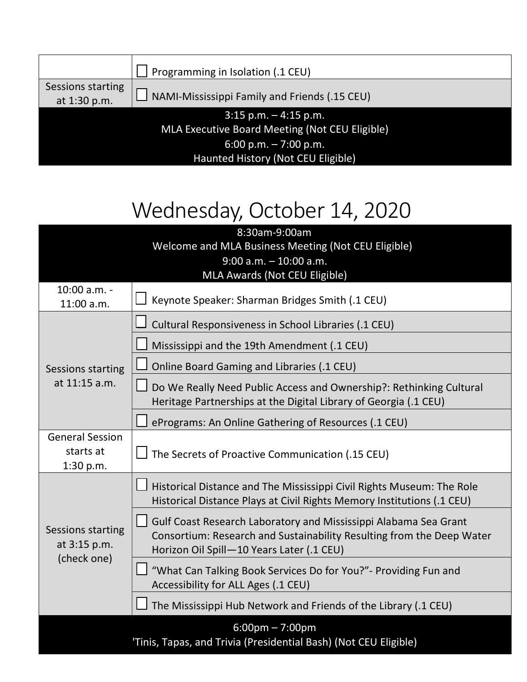|                                   | Programming in Isolation (.1 CEU)              |
|-----------------------------------|------------------------------------------------|
| Sessions starting<br>at 1:30 p.m. | NAMI-Mississippi Family and Friends (.15 CEU)  |
|                                   | $3:15$ p.m. $-4:15$ p.m.                       |
|                                   | MLA Executive Board Meeting (Not CEU Eligible) |
|                                   | 6:00 p.m. $-7:00$ p.m.                         |
|                                   | Haunted History (Not CEU Eligible)             |

## Wednesday, October 14, 2020

| 8:30am-9:00am                                                                    |                                                                                                                                                 |  |
|----------------------------------------------------------------------------------|-------------------------------------------------------------------------------------------------------------------------------------------------|--|
| Welcome and MLA Business Meeting (Not CEU Eligible)<br>$9:00$ a.m. $-10:00$ a.m. |                                                                                                                                                 |  |
|                                                                                  | MLA Awards (Not CEU Eligible)                                                                                                                   |  |
| 10:00 a.m. -                                                                     |                                                                                                                                                 |  |
| $11:00$ a.m.                                                                     | Keynote Speaker: Sharman Bridges Smith (.1 CEU)                                                                                                 |  |
| Sessions starting<br>at 11:15 a.m.                                               | Cultural Responsiveness in School Libraries (.1 CEU)                                                                                            |  |
|                                                                                  | Mississippi and the 19th Amendment (.1 CEU)                                                                                                     |  |
|                                                                                  | Online Board Gaming and Libraries (.1 CEU)                                                                                                      |  |
|                                                                                  | Do We Really Need Public Access and Ownership?: Rethinking Cultural                                                                             |  |
|                                                                                  | Heritage Partnerships at the Digital Library of Georgia (.1 CEU)                                                                                |  |
|                                                                                  | ePrograms: An Online Gathering of Resources (.1 CEU)                                                                                            |  |
| <b>General Session</b>                                                           |                                                                                                                                                 |  |
| starts at                                                                        | The Secrets of Proactive Communication (.15 CEU)                                                                                                |  |
| 1:30 p.m.                                                                        |                                                                                                                                                 |  |
|                                                                                  | Historical Distance and The Mississippi Civil Rights Museum: The Role<br>Historical Distance Plays at Civil Rights Memory Institutions (.1 CEU) |  |
|                                                                                  |                                                                                                                                                 |  |
| Sessions starting<br>at 3:15 p.m.<br>(check one)                                 | Gulf Coast Research Laboratory and Mississippi Alabama Sea Grant<br>Consortium: Research and Sustainability Resulting from the Deep Water       |  |
|                                                                                  | Horizon Oil Spill-10 Years Later (.1 CEU)                                                                                                       |  |
|                                                                                  | "What Can Talking Book Services Do for You?" - Providing Fun and                                                                                |  |
|                                                                                  | Accessibility for ALL Ages (.1 CEU)                                                                                                             |  |
|                                                                                  | The Mississippi Hub Network and Friends of the Library (.1 CEU)                                                                                 |  |
| $6:00 \text{pm} - 7:00 \text{pm}$                                                |                                                                                                                                                 |  |
| 'Tinis, Tapas, and Trivia (Presidential Bash) (Not CEU Eligible)                 |                                                                                                                                                 |  |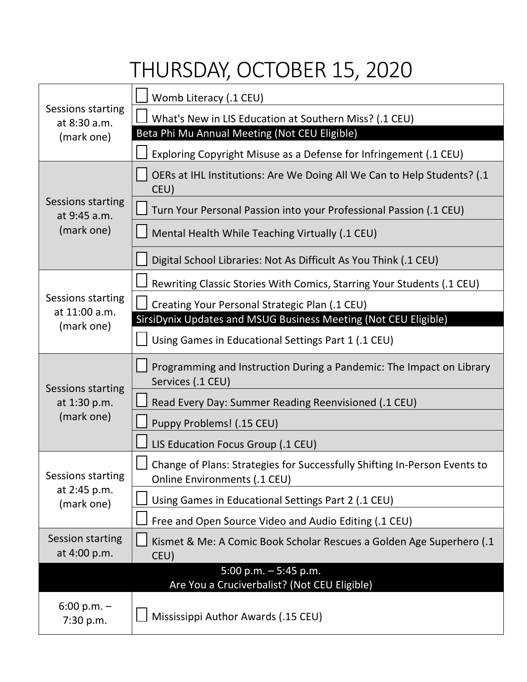## THURSDAY, OCTOBER 15, 2020

| Sessions starting<br>at 8:30 a.m.<br>(mark one) | Womb Literacy (.1 CEU)                                                                                           |
|-------------------------------------------------|------------------------------------------------------------------------------------------------------------------|
|                                                 | What's New in LIS Education at Southern Miss? (.1 CEU)                                                           |
|                                                 | Beta Phi Mu Annual Meeting (Not CEU Eligible)                                                                    |
|                                                 | Exploring Copyright Misuse as a Defense for Infringement (.1 CEU)                                                |
| Sessions starting<br>at 9:45 a.m.<br>(mark one) | OERs at IHL Institutions: Are We Doing All We Can to Help Students? (.1<br>CEU)                                  |
|                                                 | Turn Your Personal Passion into your Professional Passion (.1 CEU)                                               |
|                                                 | Mental Health While Teaching Virtually (.1 CEU)                                                                  |
|                                                 | Digital School Libraries: Not As Difficult As You Think (.1 CEU)                                                 |
|                                                 | Rewriting Classic Stories With Comics, Starring Your Students (.1 CEU)                                           |
| Sessions starting<br>at 11:00 a.m.              | Creating Your Personal Strategic Plan (.1 CEU)                                                                   |
| (mark one)                                      | SirsiDynix Updates and MSUG Business Meeting (Not CEU Eligible)                                                  |
|                                                 | Using Games in Educational Settings Part 1 (.1 CEU)                                                              |
| Sessions starting                               | Programming and Instruction During a Pandemic: The Impact on Library<br>Services (.1 CEU)                        |
| at 1:30 p.m.                                    | Read Every Day: Summer Reading Reenvisioned (.1 CEU)                                                             |
| (mark one)                                      | Puppy Problems! (.15 CEU)                                                                                        |
|                                                 | LIS Education Focus Group (.1 CEU)                                                                               |
| Sessions starting<br>at 2:45 p.m.<br>(mark one) | Change of Plans: Strategies for Successfully Shifting In-Person Events to<br><b>Online Environments (.1 CEU)</b> |
|                                                 | Using Games in Educational Settings Part 2 (.1 CEU)                                                              |
|                                                 | Free and Open Source Video and Audio Editing (.1 CEU)                                                            |
| <b>Session starting</b><br>at 4:00 p.m.         | Kismet & Me: A Comic Book Scholar Rescues a Golden Age Superhero (.1<br>CEU)                                     |
|                                                 | 5:00 p.m. $-5:45$ p.m.<br>Are You a Cruciverbalist? (Not CEU Eligible)                                           |
| $6:00 p.m. -$<br>7:30 p.m.                      | Mississippi Author Awards (.15 CEU)                                                                              |